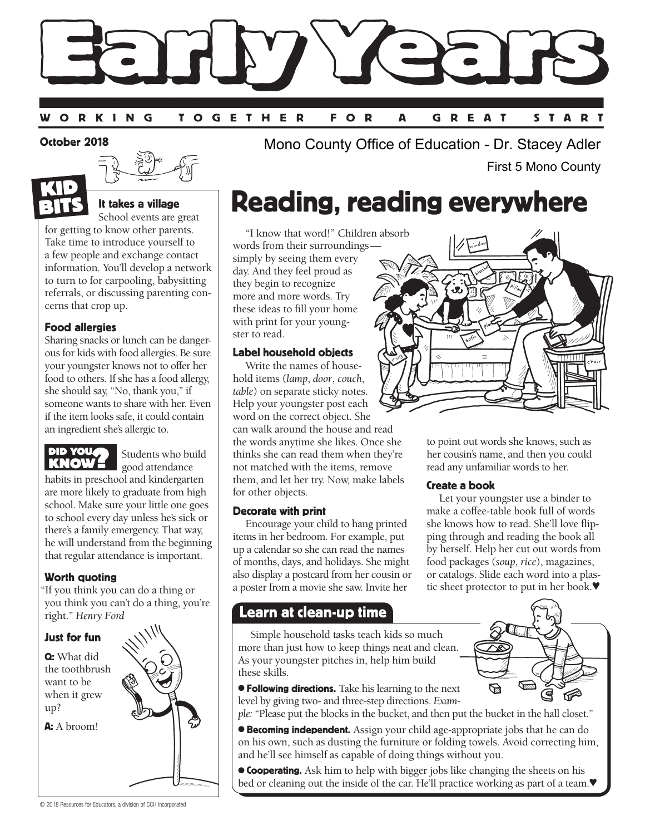

#### October 2018





### It takes a village

School events are great for getting to know other parents. Take time to introduce yourself to a few people and exchange contact information. You'll develop a network to turn to for carpooling, babysitting referrals, or discussing parenting concerns that crop up.

### Food allergies

Sharing snacks or lunch can be dangerous for kids with food allergies. Be sure your youngster knows not to offer her food to others. If she has a food allergy, she should say, "No, thank you," if someone wants to share with her. Even if the item looks safe, it could contain an ingredient she's allergic to.



Students who build good attendance

habits in preschool and kindergarten are more likely to graduate from high school. Make sure your little one goes to school every day unless he's sick or there's a family emergency. That way, he will understand from the beginning that regular attendance is important.

### Worth quoting

"If you think you can do a thing or you think you can't do a thing, you're right." *Henry Ford*

### Just for fun

Q: What did the toothbrush want to be when it grew up?

A: A broom!



Mono County Office of Education - Dr. Stacey Adler First 5 Mono County

# Reading, reading everywhere

"I know that word!" Children absorb words from their surroundings simply by seeing them every day. And they feel proud as they begin to recognize more and more words. Try these ideas to fill your home with print for your youngster to read.

### Label household objects

Write the names of household items (*lamp*, *door*, *couch*, *table*) on separate sticky notes. Help your youngster post each word on the correct object. She can walk around the house and read the words anytime she likes. Once she **ELE YOURSE Students who build** the words anytime she likes. Once she to point out words she knows, such as thinks she can read them when they're **KNOW?** Students who build not matched with the items remove read any unfami not matched with the items, remove them, and let her try. Now, make labels for other objects.

### Decorate with print

Encourage your child to hang printed items in her bedroom. For example, put up a calendar so she can read the names of months, days, and holidays. She might also display a postcard from her cousin or a poster from a movie she saw. Invite her

### Learn at clean-up time

Simple household tasks teach kids so much more than just how to keep things neat and clean. As your youngster pitches in, help him build these skills.

**• Following directions.** Take his learning to the next level by giving two- and three-step directions. *Exam-*

*ple:* "Please put the blocks in the bucket, and then put the bucket in the hall closet."

**Becoming independent.** Assign your child age-appropriate jobs that he can do on his own, such as dusting the furniture or folding towels. Avoid correcting him, and he'll see himself as capable of doing things without you.

**Cooperating.** Ask him to help with bigger jobs like changing the sheets on his bed or cleaning out the inside of the car. He'll practice working as part of a team.♥



her cousin's name, and then you could read any unfamiliar words to her.

### Create a book

Let your youngster use a binder to make a coffee-table book full of words she knows how to read. She'll love flipping through and reading the book all by herself. Help her cut out words from food packages (*soup*, *rice*), magazines, or catalogs. Slide each word into a plastic sheet protector to put in her book.♥

ष्ट

S

₻